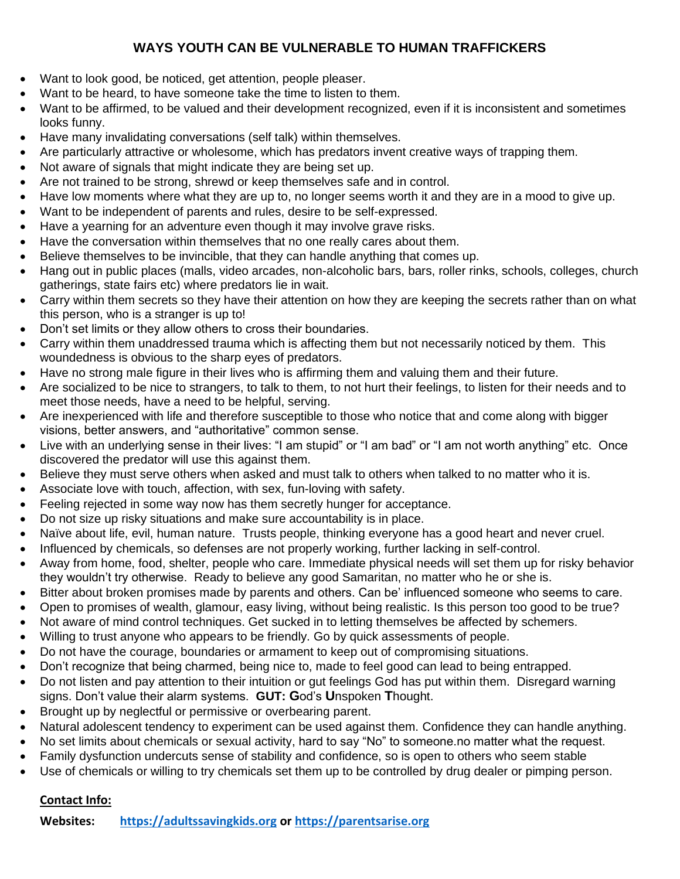## **WAYS YOUTH CAN BE VULNERABLE TO HUMAN TRAFFICKERS**

- Want to look good, be noticed, get attention, people pleaser.
- Want to be heard, to have someone take the time to listen to them.
- Want to be affirmed, to be valued and their development recognized, even if it is inconsistent and sometimes looks funny.
- Have many invalidating conversations (self talk) within themselves.
- Are particularly attractive or wholesome, which has predators invent creative ways of trapping them.
- Not aware of signals that might indicate they are being set up.
- Are not trained to be strong, shrewd or keep themselves safe and in control.
- Have low moments where what they are up to, no longer seems worth it and they are in a mood to give up.
- Want to be independent of parents and rules, desire to be self-expressed.
- Have a yearning for an adventure even though it may involve grave risks.
- Have the conversation within themselves that no one really cares about them.
- Believe themselves to be invincible, that they can handle anything that comes up.
- Hang out in public places (malls, video arcades, non-alcoholic bars, bars, roller rinks, schools, colleges, church gatherings, state fairs etc) where predators lie in wait.
- Carry within them secrets so they have their attention on how they are keeping the secrets rather than on what this person, who is a stranger is up to!
- Don't set limits or they allow others to cross their boundaries.
- Carry within them unaddressed trauma which is affecting them but not necessarily noticed by them. This woundedness is obvious to the sharp eyes of predators.
- Have no strong male figure in their lives who is affirming them and valuing them and their future.
- Are socialized to be nice to strangers, to talk to them, to not hurt their feelings, to listen for their needs and to meet those needs, have a need to be helpful, serving.
- Are inexperienced with life and therefore susceptible to those who notice that and come along with bigger visions, better answers, and "authoritative" common sense.
- Live with an underlying sense in their lives: "I am stupid" or "I am bad" or "I am not worth anything" etc. Once discovered the predator will use this against them.
- Believe they must serve others when asked and must talk to others when talked to no matter who it is.
- Associate love with touch, affection, with sex, fun-loving with safety.
- Feeling rejected in some way now has them secretly hunger for acceptance.
- Do not size up risky situations and make sure accountability is in place.
- Naïve about life, evil, human nature. Trusts people, thinking everyone has a good heart and never cruel.
- Influenced by chemicals, so defenses are not properly working, further lacking in self-control.
- Away from home, food, shelter, people who care. Immediate physical needs will set them up for risky behavior they wouldn't try otherwise. Ready to believe any good Samaritan, no matter who he or she is.
- Bitter about broken promises made by parents and others. Can be' influenced someone who seems to care.
- Open to promises of wealth, glamour, easy living, without being realistic. Is this person too good to be true?
- Not aware of mind control techniques. Get sucked in to letting themselves be affected by schemers.
- Willing to trust anyone who appears to be friendly. Go by quick assessments of people.
- Do not have the courage, boundaries or armament to keep out of compromising situations.
- Don't recognize that being charmed, being nice to, made to feel good can lead to being entrapped.
- Do not listen and pay attention to their intuition or gut feelings God has put within them. Disregard warning signs. Don't value their alarm systems. **GUT: G**od's **U**nspoken **T**hought.
- Brought up by neglectful or permissive or overbearing parent.
- Natural adolescent tendency to experiment can be used against them. Confidence they can handle anything.
- No set limits about chemicals or sexual activity, hard to say "No" to someone.no matter what the request.
- Family dysfunction undercuts sense of stability and confidence, so is open to others who seem stable
- Use of chemicals or willing to try chemicals set them up to be controlled by drug dealer or pimping person.

## **Contact Info:**